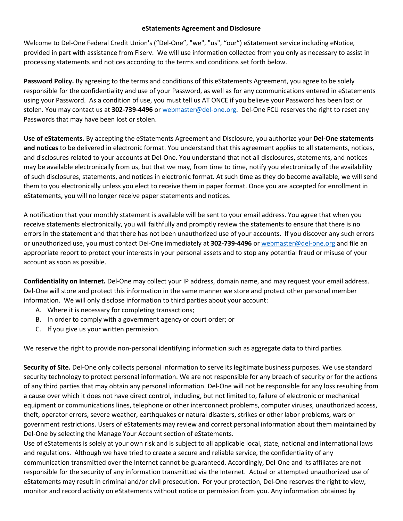## **eStatements Agreement and Disclosure**

Welcome to Del-One Federal Credit Union's ("Del-One", "we", "us", "our") eStatement service including eNotice, provided in part with assistance from Fiserv. We will use information collected from you only as necessary to assist in processing statements and notices according to the terms and conditions set forth below.

**Password Policy.** By agreeing to the terms and conditions of this eStatements Agreement, you agree to be solely responsible for the confidentiality and use of your Password, as well as for any communications entered in eStatements using your Password. As a condition of use, you must tell us AT ONCE if you believe your Password has been lost or stolen. You may contact us at **302-739-4496** or webmaster@del-one.org. Del-One FCU reserves the right to reset any Passwords that may have been lost or stolen.

**Use of eStatements.** By accepting the eStatements Agreement and Disclosure, you authorize your **Del-One statements and notices** to be delivered in electronic format. You understand that this agreement applies to all statements, notices, and disclosures related to your accounts at Del-One. You understand that not all disclosures, statements, and notices may be available electronically from us, but that we may, from time to time, notify you electronically of the availability of such disclosures, statements, and notices in electronic format. At such time as they do become available, we will send them to you electronically unless you elect to receive them in paper format. Once you are accepted for enrollment in eStatements, you will no longer receive paper statements and notices.

A notification that your monthly statement is available will be sent to your email address. You agree that when you receive statements electronically, you will faithfully and promptly review the statements to ensure that there is no errors in the statement and that there has not been unauthorized use of your accounts. If you discover any such errors or unauthorized use, you must contact Del-One immediately at **302-739-4496** or webmaster@del-one.org and file an appropriate report to protect your interests in your personal assets and to stop any potential fraud or misuse of your account as soon as possible.

**Confidentiality on Internet.** Del-One may collect your IP address, domain name, and may request your email address. Del-One will store and protect this information in the same manner we store and protect other personal member information. We will only disclose information to third parties about your account:

- A. Where it is necessary for completing transactions;
- B. In order to comply with a government agency or court order; or
- C. If you give us your written permission.

We reserve the right to provide non-personal identifying information such as aggregate data to third parties.

**Security of Site.** Del-One only collects personal information to serve its legitimate business purposes. We use standard security technology to protect personal information. We are not responsible for any breach of security or for the actions of any third parties that may obtain any personal information. Del-One will not be responsible for any loss resulting from a cause over which it does not have direct control, including, but not limited to, failure of electronic or mechanical equipment or communications lines, telephone or other interconnect problems, computer viruses, unauthorized access, theft, operator errors, severe weather, earthquakes or natural disasters, strikes or other labor problems, wars or government restrictions. Users of eStatements may review and correct personal information about them maintained by Del-One by selecting the Manage Your Account section of eStatements.

Use of eStatements is solely at your own risk and is subject to all applicable local, state, national and international laws and regulations. Although we have tried to create a secure and reliable service, the confidentiality of any communication transmitted over the Internet cannot be guaranteed. Accordingly, Del-One and its affiliates are not responsible for the security of any information transmitted via the Internet. Actual or attempted unauthorized use of eStatements may result in criminal and/or civil prosecution. For your protection, Del-One reserves the right to view, monitor and record activity on eStatements without notice or permission from you. Any information obtained by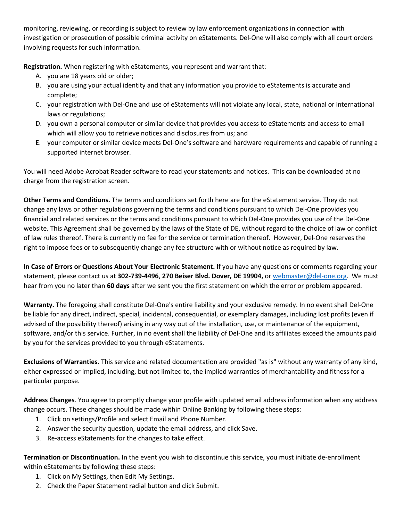monitoring, reviewing, or recording is subject to review by law enforcement organizations in connection with investigation or prosecution of possible criminal activity on eStatements. Del-One will also comply with all court orders involving requests for such information.

**Registration.** When registering with eStatements, you represent and warrant that:

- A. you are 18 years old or older;
- B. you are using your actual identity and that any information you provide to eStatements is accurate and complete;
- C. your registration with Del-One and use of eStatements will not violate any local, state, national or international laws or regulations;
- D. you own a personal computer or similar device that provides you access to eStatements and access to email which will allow you to retrieve notices and disclosures from us; and
- E. your computer or similar device meets Del-One's software and hardware requirements and capable of running a supported internet browser.

You will need Adobe Acrobat Reader software to read your statements and notices. This can be downloaded at no charge from the registration screen.

**Other Terms and Conditions.** The terms and conditions set forth here are for the eStatement service. They do not change any laws or other regulations governing the terms and conditions pursuant to which Del-One provides you financial and related services or the terms and conditions pursuant to which Del-One provides you use of the Del-One website. This Agreement shall be governed by the laws of the State of DE, without regard to the choice of law or conflict of law rules thereof. There is currently no fee for the service or termination thereof. However, Del-One reserves the right to impose fees or to subsequently change any fee structure with or without notice as required by law.

**In Case of Errors or Questions About Your Electronic Statement.** If you have any questions or comments regarding your statement, please contact us at **302-739-4496**, **270 Beiser Blvd. Dover, DE 19904,** or webmaster@del-one.org. We must hear from you no later than **60 days** after we sent you the first statement on which the error or problem appeared.

**Warranty.** The foregoing shall constitute Del-One's entire liability and your exclusive remedy. In no event shall Del-One be liable for any direct, indirect, special, incidental, consequential, or exemplary damages, including lost profits (even if advised of the possibility thereof) arising in any way out of the installation, use, or maintenance of the equipment, software, and/or this service. Further, in no event shall the liability of Del-One and its affiliates exceed the amounts paid by you for the services provided to you through eStatements.

**Exclusions of Warranties.** This service and related documentation are provided "as is" without any warranty of any kind, either expressed or implied, including, but not limited to, the implied warranties of merchantability and fitness for a particular purpose.

**Address Changes**. You agree to promptly change your profile with updated email address information when any address change occurs. These changes should be made within Online Banking by following these steps:

- 1. Click on settings/Profile and select Email and Phone Number.
- 2. Answer the security question, update the email address, and click Save.
- 3. Re-access eStatements for the changes to take effect.

**Termination or Discontinuation.** In the event you wish to discontinue this service, you must initiate de-enrollment within eStatements by following these steps:

- 1. Click on My Settings, then Edit My Settings.
- 2. Check the Paper Statement radial button and click Submit.